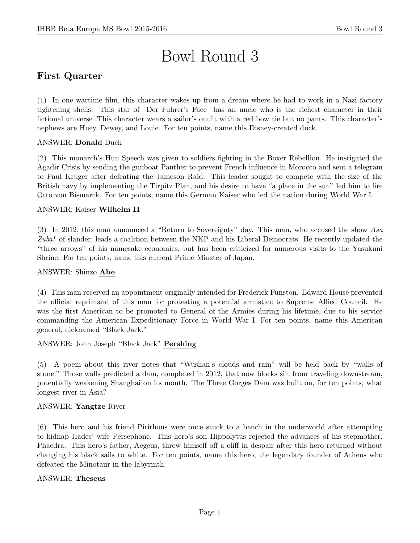# Bowl Round 3

# First Quarter

(1) In one wartime film, this character wakes up from a dream where he had to work in a Nazi factory tightening shells. This star of Der Fuhrer's Face has an uncle who is the richest character in their fictional universe .This character wears a sailor's outfit with a red bow tie but no pants. This character's nephews are Huey, Dewey, and Louie. For ten points, name this Disney-created duck.

#### ANSWER: Donald Duck

(2) This monarch's Hun Speech was given to soldiers fighting in the Boxer Rebellion. He instigated the Agadir Crisis by sending the gunboat Panther to prevent French influence in Morocco and sent a telegram to Paul Kruger after defeating the Jameson Raid. This leader sought to compete with the size of the British navy by implementing the Tirpitz Plan, and his desire to have "a place in the sun" led him to fire Otto von Bismarck. For ten points, name this German Kaiser who led the nation during World War I.

#### ANSWER: Kaiser Wilhelm II

(3) In 2012, this man announced a "Return to Sovereignty" day. This man, who accused the show Asa Zuba! of slander, leads a coalition between the NKP and his Liberal Democrats. He recently updated the "three arrows" of his namesake economics, but has been criticized for numerous visits to the Yasukuni Shrine. For ten points, name this current Prime Minster of Japan.

#### ANSWER: Shinzo Abe

(4) This man received an appointment originally intended for Frederick Funston. Edward House prevented the official reprimand of this man for protesting a potential armistice to Supreme Allied Council. He was the first American to be promoted to General of the Armies during his lifetime, due to his service commanding the American Expeditionary Force in World War I. For ten points, name this American general, nicknamed "Black Jack."

ANSWER: John Joseph "Black Jack" Pershing

(5) A poem about this river notes that "Wushan's clouds and rain" will be held back by "walls of stone." Those walls predicted a dam, completed in 2012, that now blocks silt from traveling downstream, potentially weakening Shanghai on its mouth. The Three Gorges Dam was built on, for ten points, what longest river in Asia?

#### ANSWER: Yangtze River

(6) This hero and his friend Pirithous were once stuck to a bench in the underworld after attempting to kidnap Hades' wife Persephone. This hero's son Hippolytus rejected the advances of his stepmother, Phaedra. This hero's father, Aegeus, threw himself off a cliff in despair after this hero returned without changing his black sails to white. For ten points, name this hero, the legendary founder of Athens who defeated the Minotaur in the labyrinth.

#### ANSWER: Theseus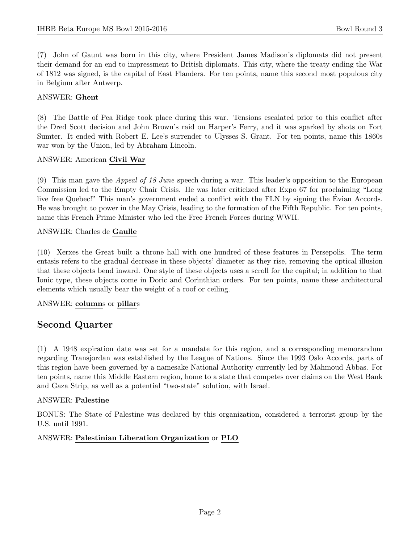(7) John of Gaunt was born in this city, where President James Madison's diplomats did not present their demand for an end to impressment to British diplomats. This city, where the treaty ending the War of 1812 was signed, is the capital of East Flanders. For ten points, name this second most populous city in Belgium after Antwerp.

#### ANSWER: Ghent

(8) The Battle of Pea Ridge took place during this war. Tensions escalated prior to this conflict after the Dred Scott decision and John Brown's raid on Harper's Ferry, and it was sparked by shots on Fort Sumter. It ended with Robert E. Lee's surrender to Ulysses S. Grant. For ten points, name this 1860s war won by the Union, led by Abraham Lincoln.

#### ANSWER: American Civil War

(9) This man gave the Appeal of 18 June speech during a war. This leader's opposition to the European Commission led to the Empty Chair Crisis. He was later criticized after Expo 67 for proclaiming "Long live free Quebec!" This man's government ended a conflict with the FLN by signing the Evian Accords. He was brought to power in the May Crisis, leading to the formation of the Fifth Republic. For ten points, name this French Prime Minister who led the Free French Forces during WWII.

#### ANSWER: Charles de Gaulle

(10) Xerxes the Great built a throne hall with one hundred of these features in Persepolis. The term entasis refers to the gradual decrease in these objects' diameter as they rise, removing the optical illusion that these objects bend inward. One style of these objects uses a scroll for the capital; in addition to that Ionic type, these objects come in Doric and Corinthian orders. For ten points, name these architectural elements which usually bear the weight of a roof or ceiling.

#### ANSWER: columns or pillars

# Second Quarter

(1) A 1948 expiration date was set for a mandate for this region, and a corresponding memorandum regarding Transjordan was established by the League of Nations. Since the 1993 Oslo Accords, parts of this region have been governed by a namesake National Authority currently led by Mahmoud Abbas. For ten points, name this Middle Eastern region, home to a state that competes over claims on the West Bank and Gaza Strip, as well as a potential "two-state" solution, with Israel.

#### ANSWER: Palestine

BONUS: The State of Palestine was declared by this organization, considered a terrorist group by the U.S. until 1991.

#### ANSWER: Palestinian Liberation Organization or PLO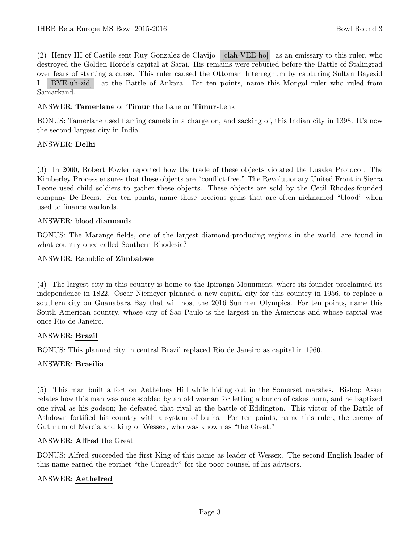(2) Henry III of Castile sent Ruy Gonzalez de Clavijo [clah-VEE-ho] as an emissary to this ruler, who destroyed the Golden Horde's capital at Sarai. His remains were reburied before the Battle of Stalingrad over fears of starting a curse. This ruler caused the Ottoman Interregnum by capturing Sultan Bayezid I [BYE-uh-zid] at the Battle of Ankara. For ten points, name this Mongol ruler who ruled from Samarkand.

#### ANSWER: Tamerlane or Timur the Lane or Timur-Lenk

BONUS: Tamerlane used flaming camels in a charge on, and sacking of, this Indian city in 1398. It's now the second-largest city in India.

#### ANSWER: Delhi

(3) In 2000, Robert Fowler reported how the trade of these objects violated the Lusaka Protocol. The Kimberley Process ensures that these objects are "conflict-free." The Revolutionary United Front in Sierra Leone used child soldiers to gather these objects. These objects are sold by the Cecil Rhodes-founded company De Beers. For ten points, name these precious gems that are often nicknamed "blood" when used to finance warlords.

#### ANSWER: blood diamonds

BONUS: The Marange fields, one of the largest diamond-producing regions in the world, are found in what country once called Southern Rhodesia?

ANSWER: Republic of Zimbabwe

(4) The largest city in this country is home to the Ipiranga Monument, where its founder proclaimed its independence in 1822. Oscar Niemeyer planned a new capital city for this country in 1956, to replace a southern city on Guanabara Bay that will host the 2016 Summer Olympics. For ten points, name this South American country, whose city of São Paulo is the largest in the Americas and whose capital was once Rio de Janeiro.

#### ANSWER: Brazil

BONUS: This planned city in central Brazil replaced Rio de Janeiro as capital in 1960.

#### ANSWER: Brasilia

(5) This man built a fort on Aethelney Hill while hiding out in the Somerset marshes. Bishop Asser relates how this man was once scolded by an old woman for letting a bunch of cakes burn, and he baptized one rival as his godson; he defeated that rival at the battle of Eddington. This victor of the Battle of Ashdown fortified his country with a system of burhs. For ten points, name this ruler, the enemy of Guthrum of Mercia and king of Wessex, who was known as "the Great."

#### ANSWER: Alfred the Great

BONUS: Alfred succeeded the first King of this name as leader of Wessex. The second English leader of this name earned the epithet "the Unready" for the poor counsel of his advisors.

#### ANSWER: Aethelred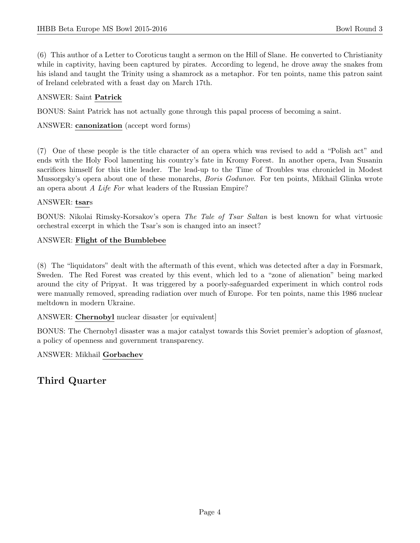(6) This author of a Letter to Coroticus taught a sermon on the Hill of Slane. He converted to Christianity while in captivity, having been captured by pirates. According to legend, he drove away the snakes from his island and taught the Trinity using a shamrock as a metaphor. For ten points, name this patron saint of Ireland celebrated with a feast day on March 17th.

## ANSWER: Saint Patrick

BONUS: Saint Patrick has not actually gone through this papal process of becoming a saint.

ANSWER: canonization (accept word forms)

(7) One of these people is the title character of an opera which was revised to add a "Polish act" and ends with the Holy Fool lamenting his country's fate in Kromy Forest. In another opera, Ivan Susanin sacrifices himself for this title leader. The lead-up to the Time of Troubles was chronicled in Modest Mussorgsky's opera about one of these monarchs, *Boris Godunov*. For ten points, Mikhail Glinka wrote an opera about A Life For what leaders of the Russian Empire?

#### ANSWER: tsars

BONUS: Nikolai Rimsky-Korsakov's opera The Tale of Tsar Saltan is best known for what virtuosic orchestral excerpt in which the Tsar's son is changed into an insect?

#### ANSWER: Flight of the Bumblebee

(8) The "liquidators" dealt with the aftermath of this event, which was detected after a day in Forsmark, Sweden. The Red Forest was created by this event, which led to a "zone of alienation" being marked around the city of Pripyat. It was triggered by a poorly-safeguarded experiment in which control rods were manually removed, spreading radiation over much of Europe. For ten points, name this 1986 nuclear meltdown in modern Ukraine.

ANSWER: Chernobyl nuclear disaster [or equivalent]

BONUS: The Chernobyl disaster was a major catalyst towards this Soviet premier's adoption of glasnost, a policy of openness and government transparency.

#### ANSWER: Mikhail Gorbachev

# Third Quarter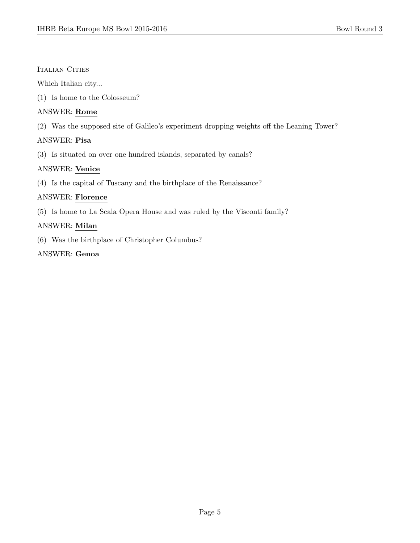#### Italian Cities

Which Italian city...

(1) Is home to the Colosseum?

## ANSWER: Rome

(2) Was the supposed site of Galileo's experiment dropping weights off the Leaning Tower?

# ANSWER: Pisa

(3) Is situated on over one hundred islands, separated by canals?

## ANSWER: Venice

(4) Is the capital of Tuscany and the birthplace of the Renaissance?

## ANSWER: Florence

(5) Is home to La Scala Opera House and was ruled by the Visconti family?

# ANSWER: Milan

(6) Was the birthplace of Christopher Columbus?

# ANSWER: Genoa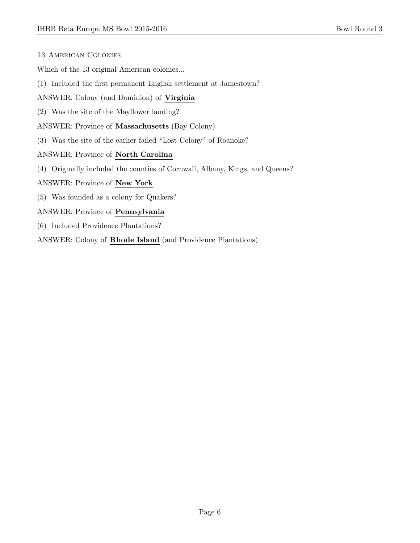- 13 American Colonies
- Which of the 13 original American colonies...
- (1) Included the first permanent English settlement at Jamestown?
- ANSWER: Colony (and Dominion) of Virginia
- (2) Was the site of the Mayflower landing?
- ANSWER: Province of Massachusetts (Bay Colony)
- (3) Was the site of the earlier failed "Lost Colony" of Roanoke?
- ANSWER: Province of North Carolina
- (4) Originally included the counties of Cornwall, Albany, Kings, and Queens?

#### ANSWER: Province of New York

- (5) Was founded as a colony for Quakers?
- ANSWER: Province of Pennsylvania
- (6) Included Providence Plantations?

ANSWER: Colony of Rhode Island (and Providence Plantations)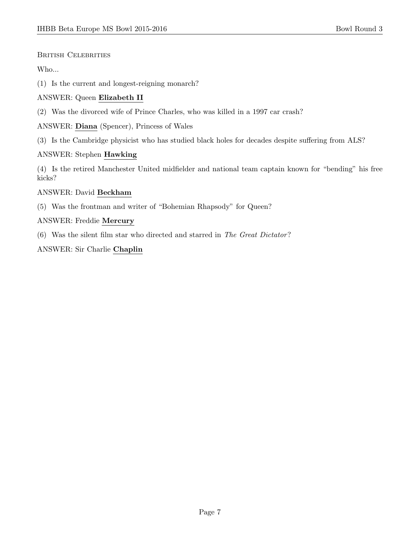#### British Celebrities

## Who...

(1) Is the current and longest-reigning monarch?

# ANSWER: Queen Elizabeth II

(2) Was the divorced wife of Prince Charles, who was killed in a 1997 car crash?

ANSWER: Diana (Spencer), Princess of Wales

(3) Is the Cambridge physicist who has studied black holes for decades despite suffering from ALS?

## ANSWER: Stephen Hawking

(4) Is the retired Manchester United midfielder and national team captain known for "bending" his free kicks?

#### ANSWER: David Beckham

(5) Was the frontman and writer of "Bohemian Rhapsody" for Queen?

## ANSWER: Freddie Mercury

(6) Was the silent film star who directed and starred in The Great Dictator?

## ANSWER: Sir Charlie Chaplin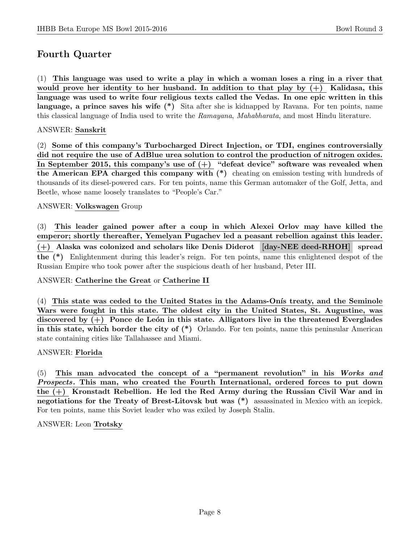# Fourth Quarter

(1) This language was used to write a play in which a woman loses a ring in a river that would prove her identity to her husband. In addition to that play by  $(+)$  Kalidasa, this language was used to write four religious texts called the Vedas. In one epic written in this language, a prince saves his wife (\*) Sita after she is kidnapped by Ravana. For ten points, name this classical language of India used to write the Ramayana, Mahabharata, and most Hindu literature.

#### ANSWER: Sanskrit

(2) Some of this company's Turbocharged Direct Injection, or TDI, engines controversially did not require the use of AdBlue urea solution to control the production of nitrogen oxides. In September 2015, this company's use of  $(+)$  "defeat device" software was revealed when the American EPA charged this company with (\*) cheating on emission testing with hundreds of thousands of its diesel-powered cars. For ten points, name this German automaker of the Golf, Jetta, and Beetle, whose name loosely translates to "People's Car."

#### ANSWER: Volkswagen Group

(3) This leader gained power after a coup in which Alexei Orlov may have killed the emperor; shortly thereafter, Yemelyan Pugachev led a peasant rebellion against this leader. (+) Alaska was colonized and scholars like Denis Diderot [day-NEE deed-RHOH] spread the (\*) Enlightenment during this leader's reign. For ten points, name this enlightened despot of the Russian Empire who took power after the suspicious death of her husband, Peter III.

#### ANSWER: Catherine the Great or Catherine II

 $(4)$  This state was ceded to the United States in the Adams-Onis treaty, and the Seminole Wars were fought in this state. The oldest city in the United States, St. Augustine, was discovered by  $(+)$  Ponce de León in this state. Alligators live in the threatened Everglades in this state, which border the city of  $(*)$  Orlando. For ten points, name this peninsular American state containing cities like Tallahassee and Miami.

#### ANSWER: Florida

(5) This man advocated the concept of a "permanent revolution" in his Works and Prospects. This man, who created the Fourth International, ordered forces to put down the (+) Kronstadt Rebellion. He led the Red Army during the Russian Civil War and in negotiations for the Treaty of Brest-Litovsk but was (\*) assassinated in Mexico with an icepick. For ten points, name this Soviet leader who was exiled by Joseph Stalin.

ANSWER: Leon Trotsky